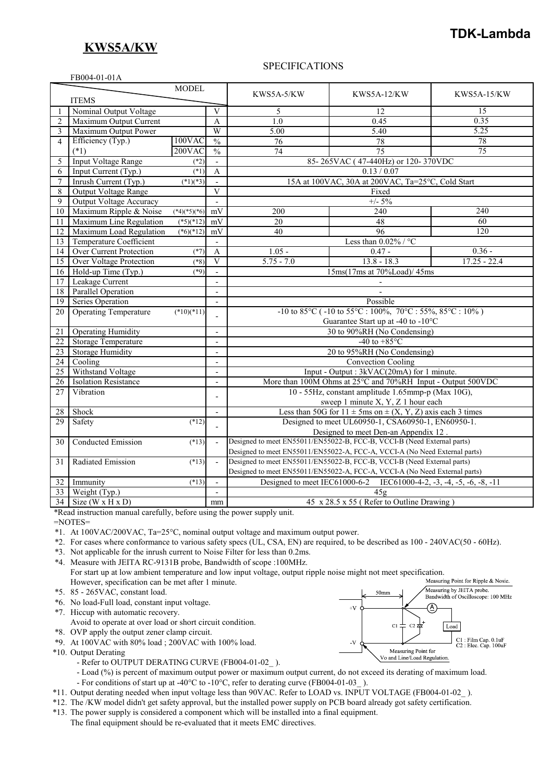## **KWS5A/KW**

FB004-01-01A

# **TDK-Lambda**

#### SPECIFICATIONS

|                | 1.10001010111                  | <b>MODEL</b>   |                             |                                                                      |                                                                            |                    |
|----------------|--------------------------------|----------------|-----------------------------|----------------------------------------------------------------------|----------------------------------------------------------------------------|--------------------|
|                |                                |                |                             | KWS5A-5/KW                                                           | <b>KWS5A-12/KW</b>                                                         | <b>KWS5A-15/KW</b> |
|                | <b>ITEMS</b>                   |                |                             |                                                                      |                                                                            |                    |
|                | Nominal Output Voltage         |                | $\overline{\mathbf{V}}$     | 5                                                                    | 12                                                                         | 15                 |
| $\overline{2}$ | Maximum Output Current         |                | A                           | 1.0                                                                  | 0.45                                                                       | 0.35               |
| 3              | Maximum Output Power           |                | W                           | 5.00                                                                 | 5.40                                                                       | 5.25               |
| $\overline{4}$ | Efficiency (Typ.)              | 100VAC         | $\frac{0}{0}$               | 76                                                                   | 78                                                                         | 78                 |
|                | $(*1)$                         | $200$ VAC      | $\frac{0}{6}$               | $\overline{74}$                                                      | 75                                                                         | $\overline{75}$    |
| 5              | <b>Input Voltage Range</b>     | $(*2)$         | $\frac{1}{2}$               | 85-265VAC (47-440Hz) or 120-370VDC                                   |                                                                            |                    |
| 6              | Input Current (Typ.)           | $(*1)$         | $\overline{A}$              | 0.13 / 0.07                                                          |                                                                            |                    |
| $\overline{7}$ | Inrush Current (Typ.)          | $(*1)(*3)$     |                             | 15A at 100VAC, 30A at 200VAC, Ta=25°C, Cold Start                    |                                                                            |                    |
| 8              | Output Voltage Range           |                | $\overline{V}$              | Fixed                                                                |                                                                            |                    |
| 9              | Output Voltage Accuracy        |                | $\blacksquare$              | $+/- 5\%$                                                            |                                                                            |                    |
| 10             | Maximum Ripple & Noise         | $(*4)(*5)(*6)$ | mV                          | 200                                                                  | 240                                                                        | 240                |
| 11             | Maximum Line Regulation        | $(*5)(*12)$    | mV                          | 20                                                                   | 48                                                                         | $\overline{60}$    |
| 12             | Maximum Load Regulation        | $(*6)(*12)$    | mV                          | 40                                                                   | 96                                                                         | $\overline{120}$   |
| 13             | <b>Temperature Coefficient</b> |                | $\blacksquare$              | Less than $0.02\%$ / °C                                              |                                                                            |                    |
| 14             | Over Current Protection        | $(*7)$         | A                           | $1.05 -$                                                             | $0.47 -$                                                                   | $0.36 -$           |
| 15             | Over Voltage Protection        | $(*8)$         | $\overline{V}$              | $5.75 - 7.0$                                                         | $13.8 - 18.3$                                                              | $17.25 - 22.4$     |
| 16             | Hold-up Time (Typ.)            | $(*9)$         | $\mathcal{L}^{\mathcal{A}}$ | 15ms(17ms at 70%Load)/45ms                                           |                                                                            |                    |
| 17             | Leakage Current                |                | $\blacksquare$              |                                                                      |                                                                            |                    |
| 18             | <b>Parallel Operation</b>      |                | $\blacksquare$              |                                                                      |                                                                            |                    |
| 19             | <b>Series Operation</b>        |                | $\blacksquare$              | Possible                                                             |                                                                            |                    |
| 20             | <b>Operating Temperature</b>   | $(*10)(*11)$   |                             | -10 to 85 °C (-10 to 55 °C : 100%, 70 °C : 55%, 85 °C : 10%)         |                                                                            |                    |
|                |                                |                | L,                          | Guarantee Start up at -40 to -10°C                                   |                                                                            |                    |
| 21             | <b>Operating Humidity</b>      |                | $\overline{\phantom{a}}$    | 30 to 90%RH (No Condensing)                                          |                                                                            |                    |
| 22             | <b>Storage Temperature</b>     |                | $\overline{a}$              | -40 to $+85^{\circ}$ C                                               |                                                                            |                    |
| 23             | Storage Humidity               |                | $\overline{\phantom{a}}$    | 20 to 95%RH (No Condensing)                                          |                                                                            |                    |
| 24             | Cooling                        |                | $\overline{\phantom{a}}$    | <b>Convection Cooling</b>                                            |                                                                            |                    |
| 25             | Withstand Voltage              |                | $\overline{\phantom{a}}$    | Input - Output : 3kVAC(20mA) for 1 minute.                           |                                                                            |                    |
| 26             | <b>Isolation Resistance</b>    |                | $\overline{\phantom{a}}$    | More than 100M Ohms at 25°C and 70%RH Input - Output 500VDC          |                                                                            |                    |
| 27             | Vibration                      |                |                             | 10 - 55Hz, constant amplitude 1.65mmp-p (Max 10G),                   |                                                                            |                    |
|                |                                |                | $\overline{\phantom{0}}$    |                                                                      | sweep 1 minute X, Y, Z 1 hour each                                         |                    |
| 28             | Shock                          |                | $\overline{\phantom{a}}$    | Less than 50G for $11 \pm 5$ ms on $\pm (X, Y, Z)$ axis each 3 times |                                                                            |                    |
| 29             | Safety                         | $(*12)$        |                             | Designed to meet UL60950-1, CSA60950-1, EN60950-1.                   |                                                                            |                    |
|                |                                |                |                             |                                                                      | Designed to meet Den-an Appendix 12.                                       |                    |
| 30             | Conducted Emission             | $(*13)$        | $\overline{a}$              |                                                                      | Designed to meet EN55011/EN55022-B, FCC-B, VCCI-B (Need External parts)    |                    |
|                |                                |                |                             |                                                                      | Designed to meet EN55011/EN55022-A, FCC-A, VCCI-A (No Need External parts) |                    |
| 31             | Radiated Emission              | $(*13)$        | $\sim$                      |                                                                      | Designed to meet EN55011/EN55022-B, FCC-B, VCCI-B (Need External parts)    |                    |
|                |                                |                |                             |                                                                      | Designed to meet EN55011/EN55022-A, FCC-A, VCCI-A (No Need External parts) |                    |
| 32             | Immunity                       | $(*13)$        | $\mathbf{r}$                |                                                                      | Designed to meet IEC61000-6-2 IEC61000-4-2, -3, -4, -5, -6, -8, -11        |                    |
| 33             | Weight (Typ.)                  |                | $\overline{\phantom{a}}$    | 45g                                                                  |                                                                            |                    |
|                | $34$ Size (W x H x D)          |                | mm                          | 45 x 28.5 x 55 (Refer to Outline Drawing)                            |                                                                            |                    |

\*Read instruction manual carefully, before using the power supply unit.

=NOTES=

- \*1. At 100VAC/200VAC, Ta=25°C, nominal output voltage and maximum output power.
- \*2. For cases where conformance to various safety specs (UL, CSA, EN) are required, to be described as 100 240VAC(50 60Hz).
- \*3. Not applicable for the inrush current to Noise Filter for less than 0.2ms.
- \*4. Measure with JEITA RC-9131B probe, Bandwidth of scope :100MHz. For start up at low ambient temperature and low input voltage, output ripple noise might not meet specification.<br>However specification can be met after 1 minute
- However, specification can be met after 1 minute. \*5. 85 - 265VAC, constant load.
- \*6. No load-Full load, constant input voltage.
- \*7. Hiccup with automatic recovery.
- Avoid to operate at over load or short circuit condition.
- \*8. OVP apply the output zener clamp circuit.
- \*9. At 100VAC with 80% load ; 200VAC with 100% load.
- \*10. Output Derating
	- Refer to OUTPUT DERATING CURVE (FB004-01-02).
	- Load (%) is percent of maximum output power or maximum output current, do not exceed its derating of maximum load.
	- For conditions of start up at -40°C to -10°C, refer to derating curve (FB004-01-03).
- \*11. Output derating needed when input voltage less than 90VAC. Refer to LOAD vs. INPUT VOLTAGE (FB004-01-02\_ ).
- \*12. The /KW model didn't get safety approval, but the installed power supply on PCB board already got safety certification.
- \*13. The power supply is considered a component which will be installed into a final equipment.

The final equipment should be re-evaluated that it meets EMC directives.

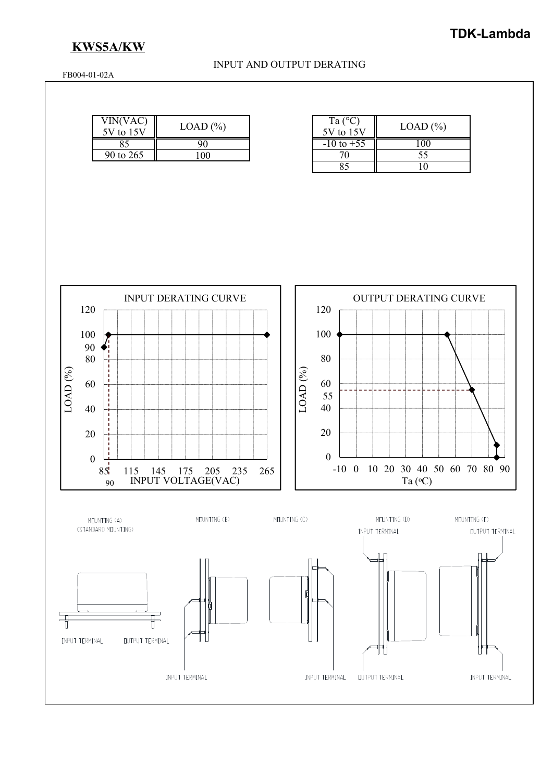# **KWS5A/KW**

#### INPUT AND OUTPUT DERATING

FB004-01-02A

| VIN(VAC)<br>5V to 15V | $LOAD (\% )$ |  |  |
|-----------------------|--------------|--|--|
|                       |              |  |  |
| 90 to 265             |              |  |  |

| Ta $(^{\circ}C)$<br>5V to 15V | $LOAD$ $(\% )$ |
|-------------------------------|----------------|
| $-10$ to $+55$                |                |
| 70                            | 55             |
|                               |                |